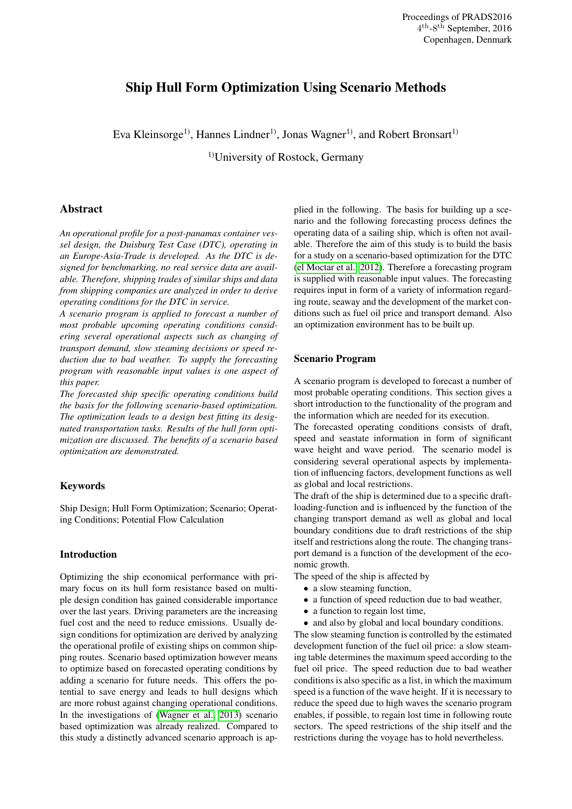# Ship Hull Form Optimization Using Scenario Methods

Eva Kleinsorge<sup>1)</sup>, Hannes Lindner<sup>1)</sup>, Jonas Wagner<sup>1)</sup>, and Robert Bronsart<sup>1)</sup>

1)University of Rostock, Germany

# Abstract

*An operational profile for a post-panamax container vessel design, the Duisburg Test Case (DTC), operating in an Europe-Asia-Trade is developed. As the DTC is designed for benchmarking, no real service data are available. Therefore, shipping trades of similar ships and data from shipping companies are analyzed in order to derive operating conditions for the DTC in service.*

*A scenario program is applied to forecast a number of most probable upcoming operating conditions considering several operational aspects such as changing of transport demand, slow steaming decisions or speed reduction due to bad weather. To supply the forecasting program with reasonable input values is one aspect of this paper.*

*The forecasted ship specific operating conditions build the basis for the following scenario-based optimization. The optimization leads to a design best fitting its designated transportation tasks. Results of the hull form optimization are discussed. The benefits of a scenario based optimization are demonstrated.*

### Keywords

Ship Design; Hull Form Optimization; Scenario; Operating Conditions; Potential Flow Calculation

## Introduction

Optimizing the ship economical performance with primary focus on its hull form resistance based on multiple design condition has gained considerable importance over the last years. Driving parameters are the increasing fuel cost and the need to reduce emissions. Usually design conditions for optimization are derived by analyzing the operational profile of existing ships on common shipping routes. Scenario based optimization however means to optimize based on forecasted operating conditions by adding a scenario for future needs. This offers the potential to save energy and leads to hull designs which are more robust against changing operational conditions. In the investigations of [\(Wagner et al., 2013\)](#page-6-0) scenario based optimization was already realized. Compared to this study a distinctly advanced scenario approach is applied in the following. The basis for building up a scenario and the following forecasting process defines the operating data of a sailing ship, which is often not available. Therefore the aim of this study is to build the basis for a study on a scenario-based optimization for the DTC [\(el Moctar et al., 2012\)](#page-6-1). Therefore a forecasting program is supplied with reasonable input values. The forecasting requires input in form of a variety of information regarding route, seaway and the development of the market conditions such as fuel oil price and transport demand. Also an optimization environment has to be built up.

#### Scenario Program

A scenario program is developed to forecast a number of most probable operating conditions. This section gives a short introduction to the functionality of the program and the information which are needed for its execution.

The forecasted operating conditions consists of draft, speed and seastate information in form of significant wave height and wave period. The scenario model is considering several operational aspects by implementation of influencing factors, development functions as well as global and local restrictions.

The draft of the ship is determined due to a specific draftloading-function and is influenced by the function of the changing transport demand as well as global and local boundary conditions due to draft restrictions of the ship itself and restrictions along the route. The changing transport demand is a function of the development of the economic growth.

The speed of the ship is affected by

- a slow steaming function,
- a function of speed reduction due to bad weather,
- a function to regain lost time,
- and also by global and local boundary conditions.

The slow steaming function is controlled by the estimated development function of the fuel oil price: a slow steaming table determines the maximum speed according to the fuel oil price. The speed reduction due to bad weather conditions is also specific as a list, in which the maximum speed is a function of the wave height. If it is necessary to reduce the speed due to high waves the scenario program enables, if possible, to regain lost time in following route sectors. The speed restrictions of the ship itself and the restrictions during the voyage has to hold nevertheless.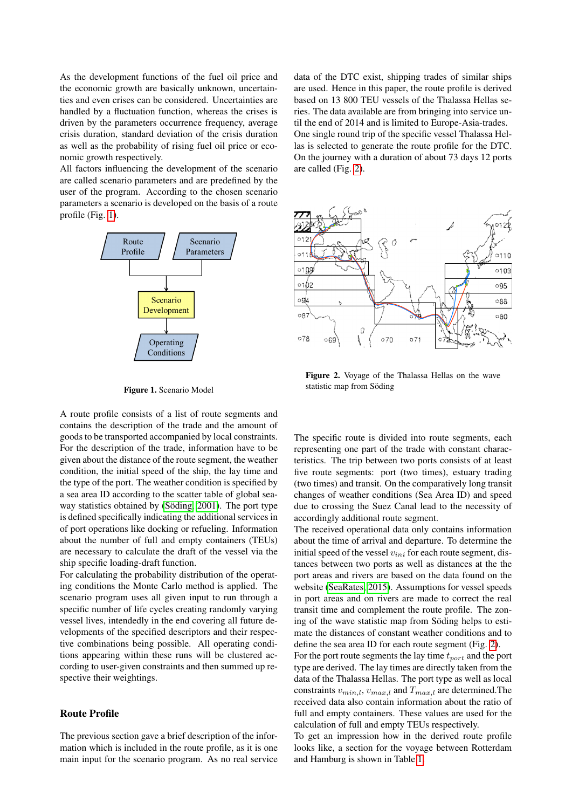As the development functions of the fuel oil price and the economic growth are basically unknown, uncertainties and even crises can be considered. Uncertainties are handled by a fluctuation function, whereas the crises is driven by the parameters occurrence frequency, average crisis duration, standard deviation of the crisis duration as well as the probability of rising fuel oil price or economic growth respectively.

All factors influencing the development of the scenario are called scenario parameters and are predefined by the user of the program. According to the chosen scenario parameters a scenario is developed on the basis of a route profile (Fig. [1\)](#page-1-0).



<span id="page-1-0"></span>Figure 1. Scenario Model

A route profile consists of a list of route segments and contains the description of the trade and the amount of goods to be transported accompanied by local constraints. For the description of the trade, information have to be given about the distance of the route segment, the weather condition, the initial speed of the ship, the lay time and the type of the port. The weather condition is specified by a sea area ID according to the scatter table of global seaway statistics obtained by (Söding, 2001). The port type is defined specifically indicating the additional services in of port operations like docking or refueling. Information about the number of full and empty containers (TEUs) are necessary to calculate the draft of the vessel via the ship specific loading-draft function.

For calculating the probability distribution of the operating conditions the Monte Carlo method is applied. The scenario program uses all given input to run through a specific number of life cycles creating randomly varying vessel lives, intendedly in the end covering all future developments of the specified descriptors and their respective combinations being possible. All operating conditions appearing within these runs will be clustered according to user-given constraints and then summed up respective their weightings.

## Route Profile

The previous section gave a brief description of the information which is included in the route profile, as it is one main input for the scenario program. As no real service data of the DTC exist, shipping trades of similar ships are used. Hence in this paper, the route profile is derived based on 13 800 TEU vessels of the Thalassa Hellas series. The data available are from bringing into service until the end of 2014 and is limited to Europe-Asia-trades. One single round trip of the specific vessel Thalassa Hellas is selected to generate the route profile for the DTC. On the journey with a duration of about 73 days 12 ports are called (Fig. [2\)](#page-1-1).



<span id="page-1-1"></span>Figure 2. Voyage of the Thalassa Hellas on the wave statistic map from Söding

The specific route is divided into route segments, each representing one part of the trade with constant characteristics. The trip between two ports consists of at least five route segments: port (two times), estuary trading (two times) and transit. On the comparatively long transit changes of weather conditions (Sea Area ID) and speed due to crossing the Suez Canal lead to the necessity of accordingly additional route segment.

The received operational data only contains information about the time of arrival and departure. To determine the initial speed of the vessel  $v_{ini}$  for each route segment, distances between two ports as well as distances at the the port areas and rivers are based on the data found on the website [\(SeaRates, 2015\)](#page-6-3). Assumptions for vessel speeds in port areas and on rivers are made to correct the real transit time and complement the route profile. The zoning of the wave statistic map from Söding helps to estimate the distances of constant weather conditions and to define the sea area ID for each route segment (Fig. [2\)](#page-1-1).

For the port route segments the lay time  $t_{port}$  and the port type are derived. The lay times are directly taken from the data of the Thalassa Hellas. The port type as well as local constraints  $v_{min,l}$ ,  $v_{max,l}$  and  $T_{max,l}$  are determined. The received data also contain information about the ratio of full and empty containers. These values are used for the calculation of full and empty TEUs respectively.

To get an impression how in the derived route profile looks like, a section for the voyage between Rotterdam and Hamburg is shown in Table [1.](#page-2-0)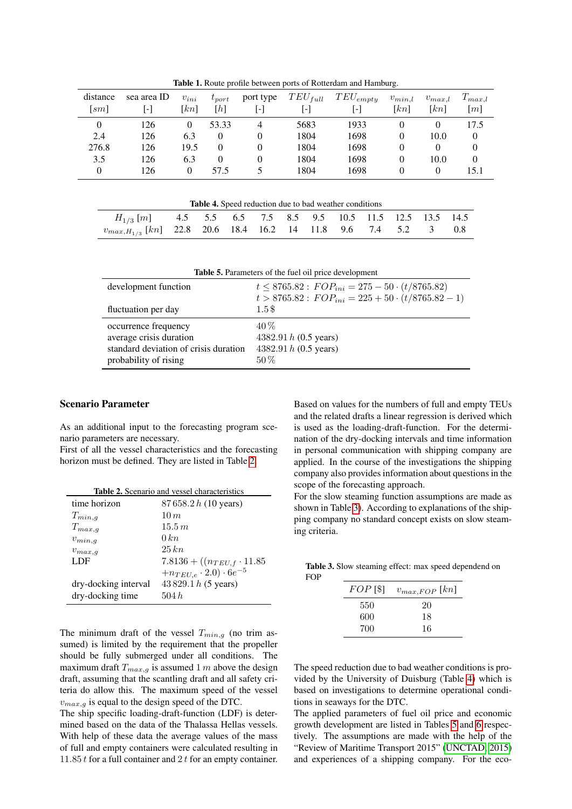| distance<br>[sm] | sea area ID<br>-1 | $v_{ini}$<br>$\lceil kn \rceil$ | $t_{port}$<br>$[h] \centering$ | port type<br>$\lceil - \rceil$ | $TEU_{full}$<br>$\left[ \cdot \right]$ | $TEU_{empty}$<br>$[\cdot]$ | $v_{min,l}$<br>$\lceil kn \rceil$ | $v_{max,l}$<br>$\lceil kn \rceil$ | $T_{max,l}$<br>[m] |
|------------------|-------------------|---------------------------------|--------------------------------|--------------------------------|----------------------------------------|----------------------------|-----------------------------------|-----------------------------------|--------------------|
| $\theta$         | 126               | 0                               | 53.33                          | 4                              | 5683                                   | 1933                       | 0                                 |                                   | 17.5               |
| 2.4              | 126               | 6.3                             | $\Omega$                       | $\Omega$                       | 1804                                   | 1698                       | 0                                 | 10.0                              | 0                  |
| 276.8            | 126               | 19.5                            |                                | $\Omega$                       | 1804                                   | 1698                       | $\Omega$                          |                                   | 0                  |
| 3.5              | 126               | 6.3                             | $\Omega$                       |                                | 1804                                   | 1698                       | 0                                 | 10.0                              | 0                  |
| $\overline{0}$   | 126               | $\theta$                        | 57.5                           |                                | 1804                                   | 1698                       | 0                                 | $\Omega$                          | 15.1               |
|                  |                   |                                 |                                |                                |                                        |                            |                                   |                                   |                    |

<span id="page-2-0"></span>Table 1. Route profile between ports of Rotterdam and Hamburg.

<span id="page-2-3"></span>

| <b>Table 4.</b> Speed reduction due to bad weather conditions        |  |  |  |  |  |  |  |  |  |  |
|----------------------------------------------------------------------|--|--|--|--|--|--|--|--|--|--|
| $H_{1/3}$ [m] 4.5 5.5 6.5 7.5 8.5 9.5 10.5 11.5 12.5 13.5 14.5       |  |  |  |  |  |  |  |  |  |  |
| $v_{max,H_{1/3}}$ [kn] 22.8 20.6 18.4 16.2 14 11.8 9.6 7.4 5.2 3 0.8 |  |  |  |  |  |  |  |  |  |  |

<span id="page-2-4"></span>Table 5. Parameters of the fuel oil price development development function  $t \le 8765.82 : FOP_{ini} = 275 - 50 \cdot (t/8765.82)$  $t > 8765.82$ :  $FOP_{ini} = 225 + 50 \cdot (t/8765.82 - 1)$ fluctuation per day 1.5 \$ occurrence frequency  $40\%$ average crisis duration 4382.91 h (0.5 years) standard deviation of crisis duration  $4382.91 h (0.5 \text{ years})$ probability of rising  $50\%$ 

### Scenario Parameter

As an additional input to the forecasting program scenario parameters are necessary.

First of all the vessel characteristics and the forecasting horizon must be defined. They are listed in Table [2.](#page-2-1)

<span id="page-2-1"></span>

|                      | <b>Table 2.</b> Scenario and vessel characteristics |  |  |  |  |
|----------------------|-----------------------------------------------------|--|--|--|--|
| time horizon         | 87658.2 h (10 years)                                |  |  |  |  |
| $T_{min,q}$          | 10 <sub>m</sub>                                     |  |  |  |  |
| $T_{max,q}$          | 15.5 m                                              |  |  |  |  |
| $v_{min,q}$          | $0\,km$                                             |  |  |  |  |
| $v_{max,q}$          | $25\,km$                                            |  |  |  |  |
| LDF                  | $7.8136 + ((n_{TEU,f} \cdot 11.85$                  |  |  |  |  |
|                      | $+n_{TEU,e} \cdot 2.0) \cdot 6e^{-5}$               |  |  |  |  |
| dry-docking interval | 43829.1 h (5 years)                                 |  |  |  |  |
| dry-docking time     | 504h                                                |  |  |  |  |

The minimum draft of the vessel  $T_{min,g}$  (no trim assumed) is limited by the requirement that the propeller should be fully submerged under all conditions. The maximum draft  $T_{max,q}$  is assumed 1 m above the design draft, assuming that the scantling draft and all safety criteria do allow this. The maximum speed of the vessel  $v_{max,q}$  is equal to the design speed of the DTC.

The ship specific loading-draft-function (LDF) is determined based on the data of the Thalassa Hellas vessels. With help of these data the average values of the mass of full and empty containers were calculated resulting in 11.85  $t$  for a full container and  $2 t$  for an empty container. Based on values for the numbers of full and empty TEUs and the related drafts a linear regression is derived which is used as the loading-draft-function. For the determination of the dry-docking intervals and time information in personal communication with shipping company are applied. In the course of the investigations the shipping company also provides information about questions in the scope of the forecasting approach.

For the slow steaming function assumptions are made as shown in Table [3\)](#page-2-2). According to explanations of the shipping company no standard concept exists on slow steaming criteria.

Table 3. Slow steaming effect: max speed dependend on FOP

<span id="page-2-2"></span>

| $FOP$ [\$] | $v_{max,FOP}$ [kn] |
|------------|--------------------|
| 550        | 20                 |
| 600        | 18                 |
| 700        | 16                 |

The speed reduction due to bad weather conditions is provided by the University of Duisburg (Table [4\)](#page-2-3) which is based on investigations to determine operational conditions in seaways for the DTC.

The applied parameters of fuel oil price and economic growth development are listed in Tables [5](#page-2-4) and [6](#page-3-0) respectively. The assumptions are made with the help of the "Review of Maritime Transport 2015" [\(UNCTAD, 2015\)](#page-6-4) and experiences of a shipping company. For the eco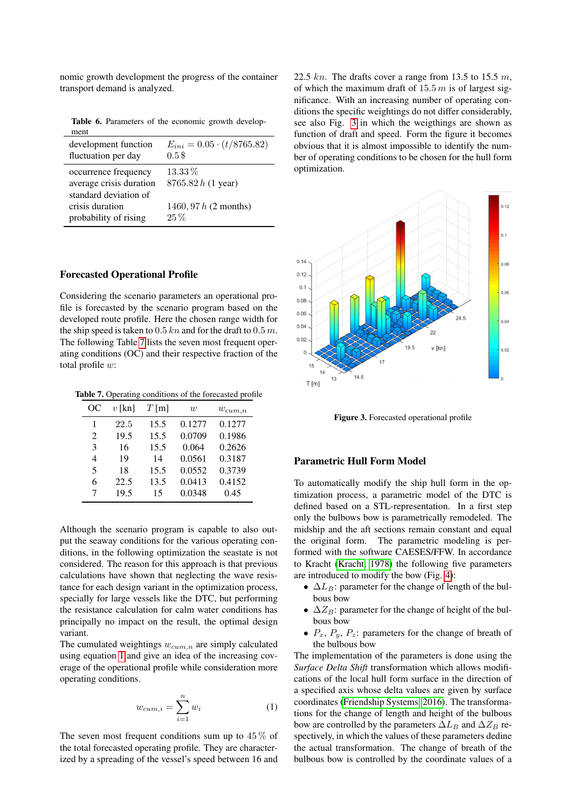nomic growth development the progress of the container transport demand is analyzed.

<span id="page-3-0"></span>Table 6. Parameters of the economic growth development

| development function                                                     | $E_{ini} = 0.05 \cdot (t/8765.82)$ |
|--------------------------------------------------------------------------|------------------------------------|
| fluctuation per day                                                      | 0.5\$                              |
| occurrence frequency<br>average crisis duration<br>standard deviation of | $13.33\%$<br>8765.82 h (1 year)    |
| crisis duration                                                          | 1460, 97 $h$ (2 months)            |
| probability of rising                                                    | $25\%$                             |

#### Forecasted Operational Profile

Considering the scenario parameters an operational profile is forecasted by the scenario program based on the developed route profile. Here the chosen range width for the ship speed is taken to  $0.5$  kn and for the draft to  $0.5$  m. The following Table [7](#page-3-1) lists the seven most frequent operating conditions (OC) and their respective fraction of the total profile w:

Table 7. Operating conditions of the forecasted profile

<span id="page-3-1"></span>

| OС                          | $v$ [kn] | $T$ [m] | $\overline{w}$ | $w_{cum,n}$ |
|-----------------------------|----------|---------|----------------|-------------|
| 1                           | 22.5     | 15.5    | 0.1277         | 0.1277      |
| $\mathcal{D}_{\mathcal{L}}$ | 19.5     | 15.5    | 0.0709         | 0.1986      |
| 3                           | 16       | 15.5    | 0.064          | 0.2626      |
| 4                           | 19       | 14      | 0.0561         | 0.3187      |
| 5                           | 18       | 15.5    | 0.0552         | 0.3739      |
| 6                           | 22.5     | 13.5    | 0.0413         | 0.4152      |
| 7                           | 19.5     | 15      | 0.0348         | 0.45        |

Although the scenario program is capable to also output the seaway conditions for the various operating conditions, in the following optimization the seastate is not considered. The reason for this approach is that previous calculations have shown that neglecting the wave resistance for each design variant in the optimization process, specially for large vessels like the DTC, but performing the resistance calculation for calm water conditions has principally no impact on the result, the optimal design variant.

The cumulated weightings  $w_{cum,n}$  are simply calculated using equation [1](#page-3-2) and give an idea of the increasing coverage of the operational profile while consideration more operating conditions.

<span id="page-3-2"></span>
$$
w_{cum,i} = \sum_{i=1}^{n} w_i
$$
 (1)

The seven most frequent conditions sum up to  $45\%$  of the total forecasted operating profile. They are characterized by a spreading of the vessel's speed between 16 and 22.5 kn. The drafts cover a range from 13.5 to 15.5 m, of which the maximum draft of  $15.5 m$  is of largest significance. With an increasing number of operating conditions the specific weightings do not differ considerably, see also Fig. [3](#page-3-3) in which the weigthings are shown as function of draft and speed. Form the figure it becomes obvious that it is almost impossible to identify the number of operating conditions to be chosen for the hull form optimization.



<span id="page-3-3"></span>Figure 3. Forecasted operational profile

#### Parametric Hull Form Model

To automatically modify the ship hull form in the optimization process, a parametric model of the DTC is defined based on a STL-representation. In a first step only the bulbows bow is parametrically remodeled. The midship and the aft sections remain constant and equal the original form. The parametric modeling is performed with the software CAESES/FFW. In accordance to Kracht [\(Kracht, 1978\)](#page-6-5) the following five parameters are introduced to modify the bow (Fig. [4\)](#page-4-0):

- $\Delta L_B$ : parameter for the change of length of the bulbous bow
- $\Delta Z_B$ : parameter for the change of height of the bulbous bow
- $P_x$ ,  $P_y$ ,  $P_z$ : parameters for the change of breath of the bulbous bow

The implementation of the parameters is done using the *Surface Delta Shift* transformation which allows modifications of the local hull form surface in the direction of a specified axis whose delta values are given by surface coordinates [\(Friendship Systems, 2016\)](#page-6-6). The transformations for the change of length and height of the bulbous bow are controlled by the parameters  $\Delta L_B$  and  $\Delta Z_B$  respectively, in which the values of these parameters dedine the actual transformation. The change of breath of the bulbous bow is controlled by the coordinate values of a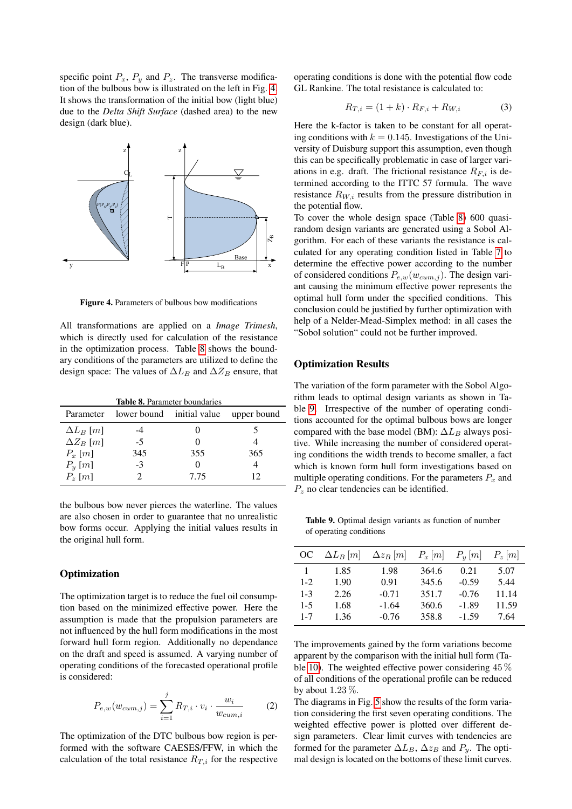specific point  $P_x$ ,  $P_y$  and  $P_z$ . The transverse modification of the bulbous bow is illustrated on the left in Fig. [4.](#page-4-0) It shows the transformation of the initial bow (light blue) due to the *Delta Shift Surface* (dashed area) to the new design (dark blue).



<span id="page-4-0"></span>Figure 4. Parameters of bulbous bow modifications

All transformations are applied on a *Image Trimesh*, which is directly used for calculation of the resistance in the optimization process. Table [8](#page-4-1) shows the boundary conditions of the parameters are utilized to define the design space: The values of  $\Delta L_B$  and  $\Delta Z_B$  ensure, that

<span id="page-4-1"></span>Table 8. Parameter boundaries Parameter lower bound initial value upper bound  $\Delta L_B [m]$  -4 0 5  $\Delta Z_B$  [*m*] -5 0 4  $P_x[m]$  345 355 365  $P_y[m]$  -3 0 4  $P_z$  [*m*] 2 7.75 12

the bulbous bow never pierces the waterline. The values are also chosen in order to guarantee that no unrealistic bow forms occur. Applying the initial values results in the original hull form.

#### **Optimization**

The optimization target is to reduce the fuel oil consumption based on the minimized effective power. Here the assumption is made that the propulsion parameters are not influenced by the hull form modifications in the most forward hull form region. Additionally no dependance on the draft and speed is assumed. A varying number of operating conditions of the forecasted operational profile is considered:

$$
P_{e,w}(w_{cum,j}) = \sum_{i=1}^{j} R_{T,i} \cdot v_i \cdot \frac{w_i}{w_{cum,i}} \tag{2}
$$

The optimization of the DTC bulbous bow region is performed with the software CAESES/FFW, in which the calculation of the total resistance  $R_{T,i}$  for the respective operating conditions is done with the potential flow code GL Rankine. The total resistance is calculated to:

$$
R_{T,i} = (1+k) \cdot R_{F,i} + R_{W,i} \tag{3}
$$

Here the k-factor is taken to be constant for all operating conditions with  $k = 0.145$ . Investigations of the University of Duisburg support this assumption, even though this can be specifically problematic in case of larger variations in e.g. draft. The frictional resistance  $R_{F,i}$  is determined according to the ITTC 57 formula. The wave resistance  $R_{W,i}$  results from the pressure distribution in the potential flow.

To cover the whole design space (Table [8\)](#page-4-1) 600 quasirandom design variants are generated using a Sobol Algorithm. For each of these variants the resistance is calculated for any operating condition listed in Table [7](#page-3-1) to determine the effective power according to the number of considered conditions  $P_{e,w}(w_{cum,j})$ . The design variant causing the minimum effective power represents the optimal hull form under the specified conditions. This conclusion could be justified by further optimization with help of a Nelder-Mead-Simplex method: in all cases the "Sobol solution" could not be further improved.

# Optimization Results

The variation of the form parameter with the Sobol Algorithm leads to optimal design variants as shown in Table [9.](#page-4-2) Irrespective of the number of operating conditions accounted for the optimal bulbous bows are longer compared with the base model (BM):  $\Delta L_B$  always positive. While increasing the number of considered operating conditions the width trends to become smaller, a fact which is known form hull form investigations based on multiple operating conditions. For the parameters  $P_x$  and  $P_z$  no clear tendencies can be identified.

<span id="page-4-2"></span>Table 9. Optimal design variants as function of number of operating conditions

| OС      | $\Delta L_B[m]$ | $\Delta z_B[m]$ | $P_x m $ | $P_u[m]$ | $P_z  m $ |
|---------|-----------------|-----------------|----------|----------|-----------|
|         | 1.85            | 1.98            | 364.6    | 0.21     | 5.07      |
| $1 - 2$ | 1.90            | 0.91            | 345.6    | $-0.59$  | 5.44      |
| $1 - 3$ | 2.26            | $-0.71$         | 351.7    | $-0.76$  | 11.14     |
| $1 - 5$ | 1.68            | $-1.64$         | 360.6    | $-1.89$  | 11.59     |
| $1 - 7$ | 1.36            | $-0.76$         | 358.8    | $-1.59$  | 7.64      |

The improvements gained by the form variations become apparent by the comparison with the initial hull form (Table [10\)](#page-5-0). The weighted effective power considering 45 % of all conditions of the operational profile can be reduced by about  $1.23\%$ .

The diagrams in Fig. [5](#page-5-1) show the results of the form variation considering the first seven operating conditions. The weighted effective power is plotted over different design parameters. Clear limit curves with tendencies are formed for the parameter  $\Delta L_B$ ,  $\Delta z_B$  and  $P_y$ . The optimal design is located on the bottoms of these limit curves.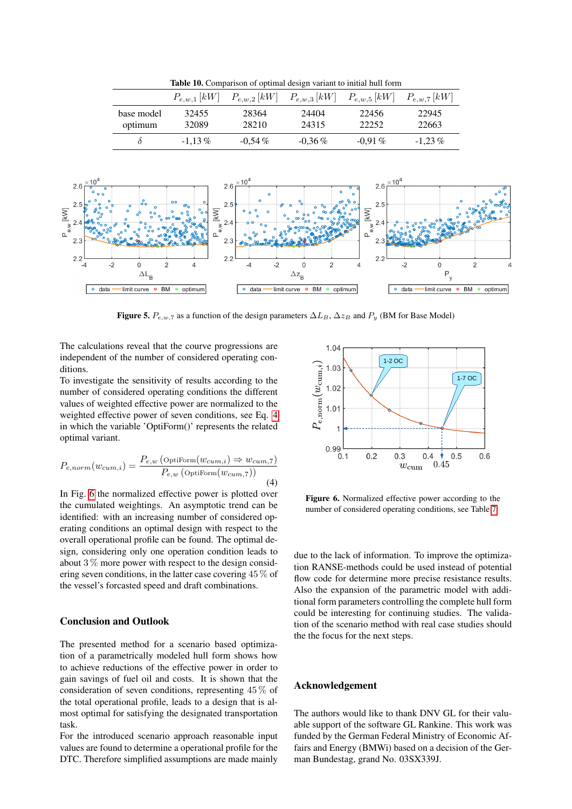<span id="page-5-0"></span>Table 10. Comparison of optimal design variant to initial hull form

|                       | $P_{e,w,1}\left[kW\right]$ | $P_{e,w,2}\left[kW\right]$ | $P_{e,w,3}\left[kW\right]$ | $P_{e,w,5}\,[kW]$ | $P_{e,w,7}$ [kW] |
|-----------------------|----------------------------|----------------------------|----------------------------|-------------------|------------------|
| base model<br>optimum | 32455<br>32089             | 28364<br>28210             | 24404<br>24315             | 22456<br>22252    | 22945<br>22663   |
|                       | $-1.13\%$                  | $-0.54\%$                  | $-0.36\%$                  | $-0.91\%$         | $-1.23\%$        |



<span id="page-5-1"></span>Figure 5.  $P_{e,w,7}$  as a function of the design parameters  $\Delta L_B$ ,  $\Delta z_B$  and  $P_y$  (BM for Base Model)

The calculations reveal that the courve progressions are independent of the number of considered operating conditions.

To investigate the sensitivity of results according to the number of considered operating conditions the different values of weighted effective power are normalized to the weighted effective power of seven conditions, see Eq. [4](#page-5-2) in which the variable 'OptiForm()' represents the related optimal variant.

<span id="page-5-2"></span>
$$
P_{e,norm}(w_{cum,i}) = \frac{P_{e,w} \left(\text{Optiform}(w_{cum,i}) \Rightarrow w_{cum,7}\right)}{P_{e,w} \left(\text{Optiform}(w_{cum,7})\right)}
$$
\n(4)

In Fig. [6](#page-5-3) the normalized effective power is plotted over the cumulated weightings. An asymptotic trend can be identified: with an increasing number of considered operating conditions an optimal design with respect to the overall operational profile can be found. The optimal design, considering only one operation condition leads to about 3 % more power with respect to the design considering seven conditions, in the latter case covering 45 % of the vessel's forcasted speed and draft combinations.

# Conclusion and Outlook

The presented method for a scenario based optimization of a parametrically modeled hull form shows how to achieve reductions of the effective power in order to gain savings of fuel oil and costs. It is shown that the consideration of seven conditions, representing 45 % of the total operational profile, leads to a design that is almost optimal for satisfying the designated transportation task.

For the introduced scenario approach reasonable input values are found to determine a operational profile for the DTC. Therefore simplified assumptions are made mainly



<span id="page-5-3"></span>Figure 6. Normalized effective power according to the number of considered operating conditions, see Table [7](#page-3-1)

due to the lack of information. To improve the optimization RANSE-methods could be used instead of potential flow code for determine more precise resistance results. Also the expansion of the parametric model with additional form parameters controlling the complete hull form could be interesting for continuing studies. The validation of the scenario method with real case studies should the the focus for the next steps.

# Acknowledgement

The authors would like to thank DNV GL for their valuable support of the software GL Rankine. This work was funded by the German Federal Ministry of Economic Affairs and Energy (BMWi) based on a decision of the German Bundestag, grand No. 03SX339J.